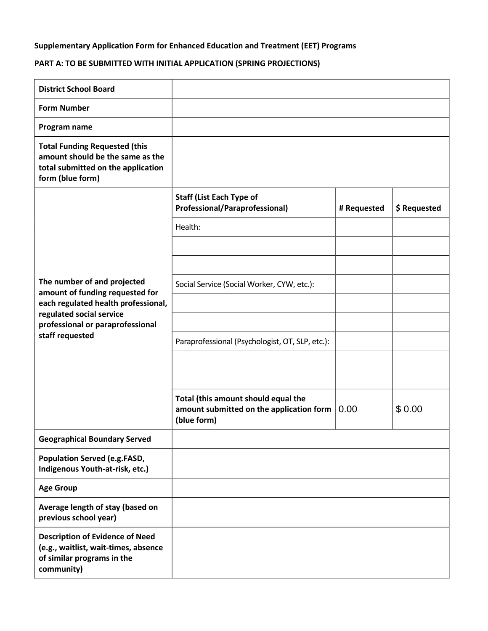## **Supplementary Application Form for Enhanced Education and Treatment (EET) Programs**

## **PART A: TO BE SUBMITTED WITH INITIAL APPLICATION (SPRING PROJECTIONS)**

| <b>District School Board</b>                                                                                                                                                             |                                                                                                |             |              |
|------------------------------------------------------------------------------------------------------------------------------------------------------------------------------------------|------------------------------------------------------------------------------------------------|-------------|--------------|
| <b>Form Number</b>                                                                                                                                                                       |                                                                                                |             |              |
| Program name                                                                                                                                                                             |                                                                                                |             |              |
| <b>Total Funding Requested (this</b><br>amount should be the same as the<br>total submitted on the application<br>form (blue form)                                                       |                                                                                                |             |              |
| The number of and projected<br>amount of funding requested for<br>each regulated health professional,<br>regulated social service<br>professional or paraprofessional<br>staff requested | <b>Staff (List Each Type of</b><br>Professional/Paraprofessional)                              | # Requested | \$ Requested |
|                                                                                                                                                                                          | Health:                                                                                        |             |              |
|                                                                                                                                                                                          |                                                                                                |             |              |
|                                                                                                                                                                                          |                                                                                                |             |              |
|                                                                                                                                                                                          | Social Service (Social Worker, CYW, etc.):                                                     |             |              |
|                                                                                                                                                                                          |                                                                                                |             |              |
|                                                                                                                                                                                          |                                                                                                |             |              |
|                                                                                                                                                                                          | Paraprofessional (Psychologist, OT, SLP, etc.):                                                |             |              |
|                                                                                                                                                                                          |                                                                                                |             |              |
|                                                                                                                                                                                          |                                                                                                |             |              |
|                                                                                                                                                                                          | Total (this amount should equal the<br>amount submitted on the application form<br>(blue form) | 0.00        | \$0.00       |
| <b>Geographical Boundary Served</b>                                                                                                                                                      |                                                                                                |             |              |
| Population Served (e.g.FASD,<br>Indigenous Youth-at-risk, etc.)                                                                                                                          |                                                                                                |             |              |
| <b>Age Group</b>                                                                                                                                                                         |                                                                                                |             |              |
| Average length of stay (based on<br>previous school year)                                                                                                                                |                                                                                                |             |              |
| <b>Description of Evidence of Need</b><br>(e.g., waitlist, wait-times, absence<br>of similar programs in the<br>community)                                                               |                                                                                                |             |              |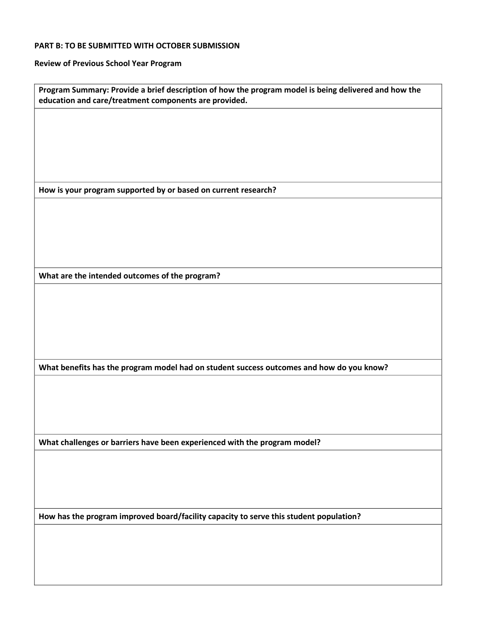## **PART B: TO BE SUBMITTED WITH OCTOBER SUBMISSION**

**Review of Previous School Year Program** 

|                                                | Program Summary: Provide a brief description of how the program model is being delivered and how the<br>education and care/treatment components are provided. |
|------------------------------------------------|---------------------------------------------------------------------------------------------------------------------------------------------------------------|
|                                                |                                                                                                                                                               |
|                                                |                                                                                                                                                               |
|                                                |                                                                                                                                                               |
|                                                |                                                                                                                                                               |
|                                                |                                                                                                                                                               |
|                                                | How is your program supported by or based on current research?                                                                                                |
|                                                |                                                                                                                                                               |
|                                                |                                                                                                                                                               |
|                                                |                                                                                                                                                               |
|                                                |                                                                                                                                                               |
|                                                |                                                                                                                                                               |
|                                                |                                                                                                                                                               |
| What are the intended outcomes of the program? |                                                                                                                                                               |
|                                                |                                                                                                                                                               |
|                                                |                                                                                                                                                               |
|                                                |                                                                                                                                                               |
|                                                |                                                                                                                                                               |
|                                                |                                                                                                                                                               |
|                                                |                                                                                                                                                               |
|                                                | What benefits has the program model had on student success outcomes and how do you know?                                                                      |
|                                                |                                                                                                                                                               |
|                                                |                                                                                                                                                               |
|                                                |                                                                                                                                                               |
|                                                |                                                                                                                                                               |
|                                                | What challenges or barriers have been experienced with the program model?                                                                                     |
|                                                |                                                                                                                                                               |
|                                                |                                                                                                                                                               |
|                                                |                                                                                                                                                               |
|                                                |                                                                                                                                                               |
|                                                | How has the program improved board/facility capacity to serve this student population?                                                                        |
|                                                |                                                                                                                                                               |
|                                                |                                                                                                                                                               |
|                                                |                                                                                                                                                               |
|                                                |                                                                                                                                                               |
|                                                |                                                                                                                                                               |